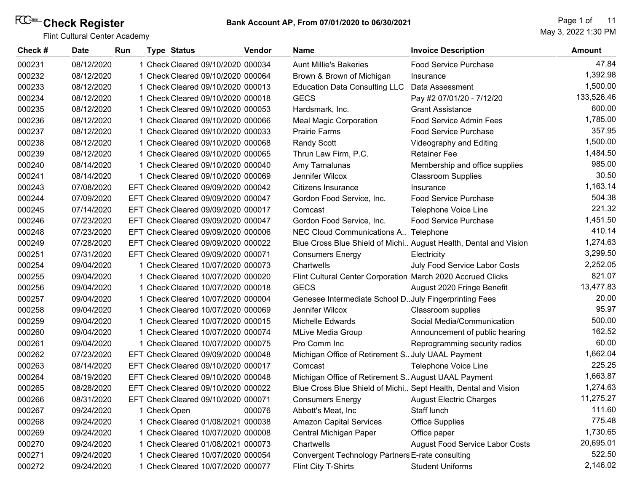Flint Cultural Center Academy

May 3, 2022 1:30 PM Page 1 of 11

| Check# | <b>Date</b> | Run |              | <b>Type Status</b>                  | Vendor | <b>Name</b>                                                    | <b>Invoice Description</b>                                       | Amount     |
|--------|-------------|-----|--------------|-------------------------------------|--------|----------------------------------------------------------------|------------------------------------------------------------------|------------|
| 000231 | 08/12/2020  |     |              | 1 Check Cleared 09/10/2020 000034   |        | <b>Aunt Millie's Bakeries</b>                                  | <b>Food Service Purchase</b>                                     | 47.84      |
| 000232 | 08/12/2020  |     |              | 1 Check Cleared 09/10/2020 000064   |        | Brown & Brown of Michigan                                      | Insurance                                                        | 1,392.98   |
| 000233 | 08/12/2020  |     |              | 1 Check Cleared 09/10/2020 000013   |        | <b>Education Data Consulting LLC</b>                           | Data Assessment                                                  | 1,500.00   |
| 000234 | 08/12/2020  |     |              | 1 Check Cleared 09/10/2020 000018   |        | <b>GECS</b>                                                    | Pay #2 07/01/20 - 7/12/20                                        | 133,526.46 |
| 000235 | 08/12/2020  |     |              | 1 Check Cleared 09/10/2020 000053   |        | Hardsmark, Inc.                                                | <b>Grant Assistance</b>                                          | 600.00     |
| 000236 | 08/12/2020  |     |              | 1 Check Cleared 09/10/2020 000066   |        | <b>Meal Magic Corporation</b>                                  | Food Service Admin Fees                                          | 1,785.00   |
| 000237 | 08/12/2020  |     |              | 1 Check Cleared 09/10/2020 000033   |        | <b>Prairie Farms</b>                                           | Food Service Purchase                                            | 357.95     |
| 000238 | 08/12/2020  |     |              | 1 Check Cleared 09/10/2020 000068   |        | <b>Randy Scott</b>                                             | Videography and Editing                                          | 1,500.00   |
| 000239 | 08/12/2020  |     |              | 1 Check Cleared 09/10/2020 000065   |        | Thrun Law Firm, P.C.                                           | <b>Retainer Fee</b>                                              | 1,484.50   |
| 000240 | 08/14/2020  |     |              | 1 Check Cleared 09/10/2020 000040   |        | Amy Tamalunas                                                  | Membership and office supplies                                   | 985.00     |
| 000241 | 08/14/2020  |     |              | 1 Check Cleared 09/10/2020 000069   |        | Jennifer Wilcox                                                | <b>Classroom Supplies</b>                                        | 30.50      |
| 000243 | 07/08/2020  |     |              | EFT Check Cleared 09/09/2020 000042 |        | Citizens Insurance                                             | Insurance                                                        | 1,163.14   |
| 000244 | 07/09/2020  |     |              | EFT Check Cleared 09/09/2020 000047 |        | Gordon Food Service, Inc.                                      | <b>Food Service Purchase</b>                                     | 504.38     |
| 000245 | 07/14/2020  |     |              | EFT Check Cleared 09/09/2020 000017 |        | Comcast                                                        | Telephone Voice Line                                             | 221.32     |
| 000246 | 07/23/2020  |     |              | EFT Check Cleared 09/09/2020 000047 |        | Gordon Food Service, Inc.                                      | <b>Food Service Purchase</b>                                     | 1,451.50   |
| 000248 | 07/23/2020  |     |              | EFT Check Cleared 09/09/2020 000006 |        | NEC Cloud Communications A Telephone                           |                                                                  | 410.14     |
| 000249 | 07/28/2020  |     |              | EFT Check Cleared 09/09/2020 000022 |        |                                                                | Blue Cross Blue Shield of Michi August Health, Dental and Vision | 1,274.63   |
| 000251 | 07/31/2020  |     |              | EFT Check Cleared 09/09/2020 000071 |        | <b>Consumers Energy</b>                                        | Electricity                                                      | 3,299.50   |
| 000254 | 09/04/2020  |     |              | 1 Check Cleared 10/07/2020 000073   |        | Chartwells                                                     | July Food Service Labor Costs                                    | 2,252.05   |
| 000255 | 09/04/2020  |     |              | 1 Check Cleared 10/07/2020 000020   |        | Flint Cultural Center Corporation March 2020 Accrued Clicks    |                                                                  | 821.07     |
| 000256 | 09/04/2020  |     |              | 1 Check Cleared 10/07/2020 000018   |        | <b>GECS</b>                                                    | August 2020 Fringe Benefit                                       | 13,477.83  |
| 000257 | 09/04/2020  |     |              | 1 Check Cleared 10/07/2020 000004   |        | Genesee Intermediate School D. July Fingerprinting Fees        |                                                                  | 20.00      |
| 000258 | 09/04/2020  |     |              | 1 Check Cleared 10/07/2020 000069   |        | Jennifer Wilcox                                                | Classroom supplies                                               | 95.97      |
| 000259 | 09/04/2020  |     |              | 1 Check Cleared 10/07/2020 000015   |        | Michelle Edwards                                               | Social Media/Communication                                       | 500.00     |
| 000260 | 09/04/2020  |     |              | 1 Check Cleared 10/07/2020 000074   |        | <b>MLive Media Group</b>                                       | Announcement of public hearing                                   | 162.52     |
| 000261 | 09/04/2020  |     |              | 1 Check Cleared 10/07/2020 000075   |        | Pro Comm Inc                                                   | Reprogramming security radios                                    | 60.00      |
| 000262 | 07/23/2020  |     |              | EFT Check Cleared 09/09/2020 000048 |        | Michigan Office of Retirement S. July UAAL Payment             |                                                                  | 1,662.04   |
| 000263 | 08/14/2020  |     |              | EFT Check Cleared 09/10/2020 000017 |        | Comcast                                                        | Telephone Voice Line                                             | 225.25     |
| 000264 | 08/19/2020  |     |              | EFT Check Cleared 09/10/2020 000048 |        | Michigan Office of Retirement S. August UAAL Payment           |                                                                  | 1,663.87   |
| 000265 | 08/28/2020  |     |              | EFT Check Cleared 09/10/2020 000022 |        | Blue Cross Blue Shield of Michi Sept Health, Dental and Vision |                                                                  | 1,274.63   |
| 000266 | 08/31/2020  |     |              | EFT Check Cleared 09/10/2020 000071 |        | Consumers Energy                                               | <b>August Electric Charges</b>                                   | 11,275.27  |
| 000267 | 09/24/2020  |     | 1 Check Open |                                     | 000076 | Abbott's Meat, Inc                                             | Staff lunch                                                      | 111.60     |
| 000268 | 09/24/2020  |     |              | 1 Check Cleared 01/08/2021 000038   |        | <b>Amazon Capital Services</b>                                 | <b>Office Supplies</b>                                           | 775.48     |
| 000269 | 09/24/2020  |     |              | 1 Check Cleared 10/07/2020 000008   |        | Central Michigan Paper                                         | Office paper                                                     | 1,730.65   |
| 000270 | 09/24/2020  |     |              | 1 Check Cleared 01/08/2021 000073   |        | Chartwells                                                     | August Food Service Labor Costs                                  | 20,695.01  |
| 000271 | 09/24/2020  |     |              | 1 Check Cleared 10/07/2020 000054   |        | Convergent Technology Partners E-rate consulting               |                                                                  | 522.50     |
| 000272 | 09/24/2020  |     |              | 1 Check Cleared 10/07/2020 000077   |        | Flint City T-Shirts                                            | <b>Student Uniforms</b>                                          | 2,146.02   |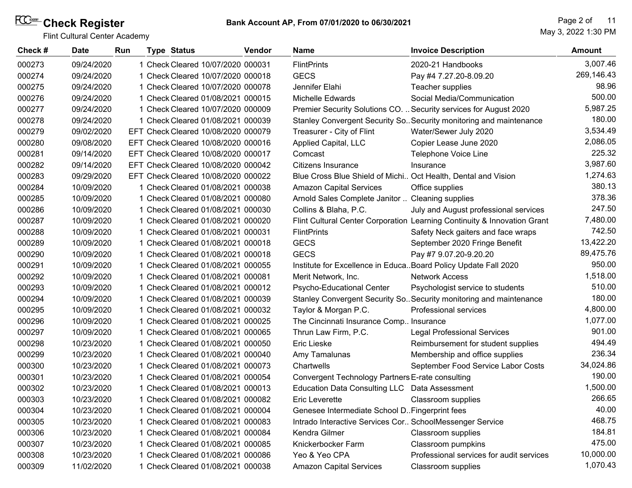| Check# | <b>Date</b> | Run | <b>Type Status</b>                  | Vendor | <b>Name</b>                                                    | <b>Invoice Description</b>                                               | Amount     |
|--------|-------------|-----|-------------------------------------|--------|----------------------------------------------------------------|--------------------------------------------------------------------------|------------|
| 000273 | 09/24/2020  |     | 1 Check Cleared 10/07/2020 000031   |        | <b>FlintPrints</b>                                             | 2020-21 Handbooks                                                        | 3,007.46   |
| 000274 | 09/24/2020  |     | 1 Check Cleared 10/07/2020 000018   |        | <b>GECS</b>                                                    | Pay #4 7.27.20-8.09.20                                                   | 269,146.43 |
| 000275 | 09/24/2020  |     | 1 Check Cleared 10/07/2020 000078   |        | Jennifer Elahi                                                 | Teacher supplies                                                         | 98.96      |
| 000276 | 09/24/2020  |     | 1 Check Cleared 01/08/2021 000015   |        | Michelle Edwards                                               | Social Media/Communication                                               | 500.00     |
| 000277 | 09/24/2020  |     | 1 Check Cleared 10/07/2020 000009   |        |                                                                | Premier Security Solutions CO.  Security services for August 2020        | 5,987.25   |
| 000278 | 09/24/2020  |     | 1 Check Cleared 01/08/2021 000039   |        |                                                                | Stanley Convergent Security So Security monitoring and maintenance       | 180.00     |
| 000279 | 09/02/2020  |     | EFT Check Cleared 10/08/2020 000079 |        | Treasurer - City of Flint                                      | Water/Sewer July 2020                                                    | 3,534.49   |
| 000280 | 09/08/2020  |     | EFT Check Cleared 10/08/2020 000016 |        | Applied Capital, LLC                                           | Copier Lease June 2020                                                   | 2,086.05   |
| 000281 | 09/14/2020  |     | EFT Check Cleared 10/08/2020 000017 |        | Comcast                                                        | Telephone Voice Line                                                     | 225.32     |
| 000282 | 09/14/2020  |     | EFT Check Cleared 10/08/2020 000042 |        | Citizens Insurance                                             | Insurance                                                                | 3,987.60   |
| 000283 | 09/29/2020  |     | EFT Check Cleared 10/08/2020 000022 |        | Blue Cross Blue Shield of Michi Oct Health, Dental and Vision  |                                                                          | 1,274.63   |
| 000284 | 10/09/2020  |     | 1 Check Cleared 01/08/2021 000038   |        | <b>Amazon Capital Services</b>                                 | Office supplies                                                          | 380.13     |
| 000285 | 10/09/2020  |     | 1 Check Cleared 01/08/2021 000080   |        | Arnold Sales Complete Janitor  Cleaning supplies               |                                                                          | 378.36     |
| 000286 | 10/09/2020  |     | 1 Check Cleared 01/08/2021 000030   |        | Collins & Blaha, P.C.                                          | July and August professional services                                    | 247.50     |
| 000287 | 10/09/2020  |     | 1 Check Cleared 01/08/2021 000020   |        |                                                                | Flint Cultural Center Corporation Learning Continuity & Innovation Grant | 7,480.00   |
| 000288 | 10/09/2020  |     | 1 Check Cleared 01/08/2021 000031   |        | <b>FlintPrints</b>                                             | Safety Neck gaiters and face wraps                                       | 742.50     |
| 000289 | 10/09/2020  |     | 1 Check Cleared 01/08/2021 000018   |        | <b>GECS</b>                                                    | September 2020 Fringe Benefit                                            | 13,422.20  |
| 000290 | 10/09/2020  |     | 1 Check Cleared 01/08/2021 000018   |        | <b>GECS</b>                                                    | Pay #7 9.07.20-9.20.20                                                   | 89,475.76  |
| 000291 | 10/09/2020  |     | 1 Check Cleared 01/08/2021 000055   |        | Institute for Excellence in EducaBoard Policy Update Fall 2020 |                                                                          | 950.00     |
| 000292 | 10/09/2020  |     | 1 Check Cleared 01/08/2021 000081   |        | Merit Network, Inc.                                            | <b>Network Access</b>                                                    | 1,518.00   |
| 000293 | 10/09/2020  |     | 1 Check Cleared 01/08/2021 000012   |        | Psycho-Educational Center                                      | Psychologist service to students                                         | 510.00     |
| 000294 | 10/09/2020  |     | 1 Check Cleared 01/08/2021 000039   |        |                                                                | Stanley Convergent Security So. Security monitoring and maintenance      | 180.00     |
| 000295 | 10/09/2020  |     | 1 Check Cleared 01/08/2021 000032   |        | Taylor & Morgan P.C.                                           | Professional services                                                    | 4,800.00   |
| 000296 | 10/09/2020  |     | 1 Check Cleared 01/08/2021 000025   |        | The Cincinnati Insurance Comp Insurance                        |                                                                          | 1,077.00   |
| 000297 | 10/09/2020  |     | 1 Check Cleared 01/08/2021 000065   |        | Thrun Law Firm, P.C.                                           | <b>Legal Professional Services</b>                                       | 901.00     |
| 000298 | 10/23/2020  |     | 1 Check Cleared 01/08/2021 000050   |        | Eric Lieske                                                    | Reimbursement for student supplies                                       | 494.49     |
| 000299 | 10/23/2020  |     | 1 Check Cleared 01/08/2021 000040   |        | Amy Tamalunas                                                  | Membership and office supplies                                           | 236.34     |
| 000300 | 10/23/2020  |     | 1 Check Cleared 01/08/2021 000073   |        | Chartwells                                                     | September Food Service Labor Costs                                       | 34,024.86  |
| 000301 | 10/23/2020  |     | 1 Check Cleared 01/08/2021 000054   |        | Convergent Technology Partners E-rate consulting               |                                                                          | 190.00     |
| 000302 | 10/23/2020  |     | 1 Check Cleared 01/08/2021 000013   |        | Education Data Consulting LLC Data Assessment                  |                                                                          | 1,500.00   |
| 000303 | 10/23/2020  |     | 1 Check Cleared 01/08/2021 000082   |        | Eric Leverette                                                 | Classroom supplies                                                       | 266.65     |
| 000304 | 10/23/2020  |     | 1 Check Cleared 01/08/2021 000004   |        | Genesee Intermediate School D. Fingerprint fees                |                                                                          | 40.00      |
| 000305 | 10/23/2020  |     | 1 Check Cleared 01/08/2021 000083   |        | Intrado Interactive Services Cor SchoolMessenger Service       |                                                                          | 468.75     |
| 000306 | 10/23/2020  |     | 1 Check Cleared 01/08/2021 000084   |        | Kendra Gilmer                                                  | Classroom supplies                                                       | 184.81     |
| 000307 | 10/23/2020  |     | 1 Check Cleared 01/08/2021 000085   |        | Knickerbocker Farm                                             | Classroom pumpkins                                                       | 475.00     |
| 000308 | 10/23/2020  |     | 1 Check Cleared 01/08/2021 000086   |        | Yeo & Yeo CPA                                                  | Professional services for audit services                                 | 10,000.00  |
| 000309 | 11/02/2020  |     | 1 Check Cleared 01/08/2021 000038   |        | <b>Amazon Capital Services</b>                                 | Classroom supplies                                                       | 1,070.43   |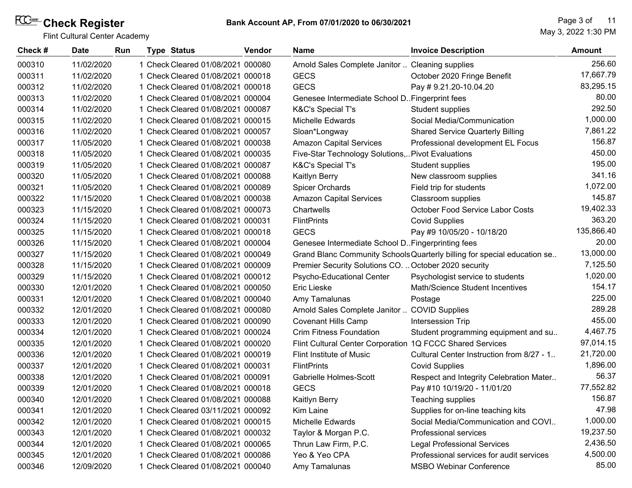| Check# | <b>Date</b> | <b>Run</b> | <b>Type Status</b>                | Vendor | Name                                                      | <b>Invoice Description</b>                                               | <b>Amount</b> |
|--------|-------------|------------|-----------------------------------|--------|-----------------------------------------------------------|--------------------------------------------------------------------------|---------------|
| 000310 | 11/02/2020  |            | 1 Check Cleared 01/08/2021 000080 |        | Arnold Sales Complete Janitor  Cleaning supplies          |                                                                          | 256.60        |
| 000311 | 11/02/2020  |            | 1 Check Cleared 01/08/2021 000018 |        | <b>GECS</b>                                               | October 2020 Fringe Benefit                                              | 17,667.79     |
| 000312 | 11/02/2020  |            | 1 Check Cleared 01/08/2021 000018 |        | <b>GECS</b>                                               | Pay #9.21.20-10.04.20                                                    | 83,295.15     |
| 000313 | 11/02/2020  |            | 1 Check Cleared 01/08/2021 000004 |        | Genesee Intermediate School D. Fingerprint fees           |                                                                          | 80.00         |
| 000314 | 11/02/2020  |            | 1 Check Cleared 01/08/2021 000087 |        | K&C's Special T's                                         | Student supplies                                                         | 292.50        |
| 000315 | 11/02/2020  |            | 1 Check Cleared 01/08/2021 000015 |        | Michelle Edwards                                          | Social Media/Communication                                               | 1,000.00      |
| 000316 | 11/02/2020  |            | 1 Check Cleared 01/08/2021 000057 |        | Sloan*Longway                                             | <b>Shared Service Quarterly Billing</b>                                  | 7,861.22      |
| 000317 | 11/05/2020  |            | 1 Check Cleared 01/08/2021 000038 |        | <b>Amazon Capital Services</b>                            | Professional development EL Focus                                        | 156.87        |
| 000318 | 11/05/2020  |            | 1 Check Cleared 01/08/2021 000035 |        | Five-Star Technology Solutions, Pivot Evaluations         |                                                                          | 450.00        |
| 000319 | 11/05/2020  |            | 1 Check Cleared 01/08/2021 000087 |        | <b>K&amp;C's Special T's</b>                              | Student supplies                                                         | 195.00        |
| 000320 | 11/05/2020  |            | 1 Check Cleared 01/08/2021 000088 |        | Kaitlyn Berry                                             | New classroom supplies                                                   | 341.16        |
| 000321 | 11/05/2020  |            | 1 Check Cleared 01/08/2021 000089 |        | <b>Spicer Orchards</b>                                    | Field trip for students                                                  | 1,072.00      |
| 000322 | 11/15/2020  |            | 1 Check Cleared 01/08/2021 000038 |        | <b>Amazon Capital Services</b>                            | Classroom supplies                                                       | 145.87        |
| 000323 | 11/15/2020  |            | 1 Check Cleared 01/08/2021 000073 |        | Chartwells                                                | October Food Service Labor Costs                                         | 19,402.33     |
| 000324 | 11/15/2020  |            | 1 Check Cleared 01/08/2021 000031 |        | <b>FlintPrints</b>                                        | <b>Covid Supplies</b>                                                    | 363.20        |
| 000325 | 11/15/2020  |            | 1 Check Cleared 01/08/2021 000018 |        | <b>GECS</b>                                               | Pay #9 10/05/20 - 10/18/20                                               | 135,866.40    |
| 000326 | 11/15/2020  |            | 1 Check Cleared 01/08/2021 000004 |        | Genesee Intermediate School D. Fingerprinting fees        |                                                                          | 20.00         |
| 000327 | 11/15/2020  |            | 1 Check Cleared 01/08/2021 000049 |        |                                                           | Grand Blanc Community Schools Quarterly billing for special education se | 13,000.00     |
| 000328 | 11/15/2020  |            | 1 Check Cleared 01/08/2021 000009 |        | Premier Security Solutions CO.  October 2020 security     |                                                                          | 7,125.50      |
| 000329 | 11/15/2020  |            | 1 Check Cleared 01/08/2021 000012 |        | Psycho-Educational Center                                 | Psychologist service to students                                         | 1,020.00      |
| 000330 | 12/01/2020  |            | 1 Check Cleared 01/08/2021 000050 |        | Eric Lieske                                               | Math/Science Student Incentives                                          | 154.17        |
| 000331 | 12/01/2020  |            | 1 Check Cleared 01/08/2021 000040 |        | Amy Tamalunas                                             | Postage                                                                  | 225.00        |
| 000332 | 12/01/2020  |            | 1 Check Cleared 01/08/2021 000080 |        | Arnold Sales Complete Janitor  COVID Supplies             |                                                                          | 289.28        |
| 000333 | 12/01/2020  |            | 1 Check Cleared 01/08/2021 000090 |        | <b>Covenant Hills Camp</b>                                | Intersession Trip                                                        | 455.00        |
| 000334 | 12/01/2020  |            | 1 Check Cleared 01/08/2021 000024 |        | <b>Crim Fitness Foundation</b>                            | Student programming equipment and su                                     | 4,467.75      |
| 000335 | 12/01/2020  |            | 1 Check Cleared 01/08/2021 000020 |        | Flint Cultural Center Corporation 1Q FCCC Shared Services |                                                                          | 97,014.15     |
| 000336 | 12/01/2020  |            | 1 Check Cleared 01/08/2021 000019 |        | Flint Institute of Music                                  | Cultural Center Instruction from 8/27 - 1                                | 21,720.00     |
| 000337 | 12/01/2020  |            | 1 Check Cleared 01/08/2021 000031 |        | <b>FlintPrints</b>                                        | <b>Covid Supplies</b>                                                    | 1,896.00      |
| 000338 | 12/01/2020  |            | 1 Check Cleared 01/08/2021 000091 |        | <b>Gabrielle Holmes-Scott</b>                             | Respect and Integrity Celebration Mater                                  | 56.37         |
| 000339 | 12/01/2020  |            | 1 Check Cleared 01/08/2021 000018 |        | <b>GECS</b>                                               | Pay #10 10/19/20 - 11/01/20                                              | 77,552.82     |
| 000340 | 12/01/2020  |            | Check Cleared 01/08/2021 000088   |        | Kaitlyn Berry                                             | Teaching supplies                                                        | 156.87        |
| 000341 | 12/01/2020  |            | 1 Check Cleared 03/11/2021 000092 |        | Kim Laine                                                 | Supplies for on-line teaching kits                                       | 47.98         |
| 000342 | 12/01/2020  |            | 1 Check Cleared 01/08/2021 000015 |        | Michelle Edwards                                          | Social Media/Communication and COVI                                      | 1,000.00      |
| 000343 | 12/01/2020  |            | 1 Check Cleared 01/08/2021 000032 |        | Taylor & Morgan P.C.                                      | Professional services                                                    | 19,237.50     |
| 000344 | 12/01/2020  |            | 1 Check Cleared 01/08/2021 000065 |        | Thrun Law Firm, P.C.                                      | <b>Legal Professional Services</b>                                       | 2,436.50      |
| 000345 | 12/01/2020  |            | 1 Check Cleared 01/08/2021 000086 |        | Yeo & Yeo CPA                                             | Professional services for audit services                                 | 4,500.00      |
| 000346 | 12/09/2020  |            | 1 Check Cleared 01/08/2021 000040 |        | Amy Tamalunas                                             | <b>MSBO Webinar Conference</b>                                           | 85.00         |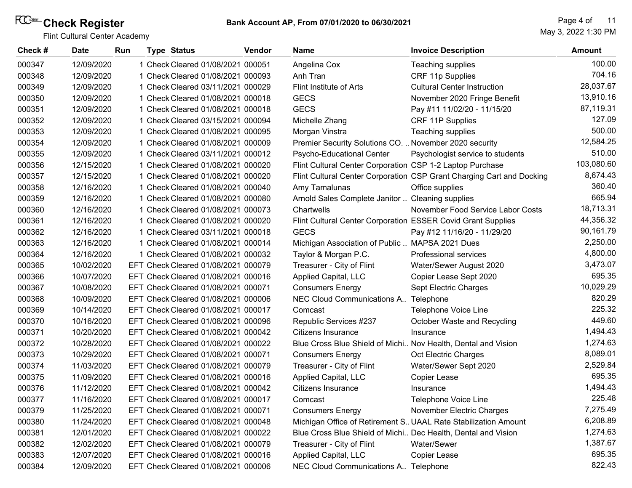| Check# | <b>Date</b> | Run | <b>Type Status</b>                  | <b>Vendor</b> | <b>Name</b>                                                   | <b>Invoice Description</b>                                            | <b>Amount</b> |
|--------|-------------|-----|-------------------------------------|---------------|---------------------------------------------------------------|-----------------------------------------------------------------------|---------------|
| 000347 | 12/09/2020  |     | 1 Check Cleared 01/08/2021 000051   |               | Angelina Cox                                                  | Teaching supplies                                                     | 100.00        |
| 000348 | 12/09/2020  |     | 1 Check Cleared 01/08/2021 000093   |               | Anh Tran                                                      | CRF 11p Supplies                                                      | 704.16        |
| 000349 | 12/09/2020  |     | 1 Check Cleared 03/11/2021 000029   |               | Flint Institute of Arts                                       | <b>Cultural Center Instruction</b>                                    | 28,037.67     |
| 000350 | 12/09/2020  |     | 1 Check Cleared 01/08/2021 000018   |               | <b>GECS</b>                                                   | November 2020 Fringe Benefit                                          | 13,910.16     |
| 000351 | 12/09/2020  |     | 1 Check Cleared 01/08/2021 000018   |               | <b>GECS</b>                                                   | Pay #11 11/02/20 - 11/15/20                                           | 87,119.31     |
| 000352 | 12/09/2020  |     | 1 Check Cleared 03/15/2021 000094   |               | Michelle Zhang                                                | CRF 11P Supplies                                                      | 127.09        |
| 000353 | 12/09/2020  |     | 1 Check Cleared 01/08/2021 000095   |               | Morgan Vinstra                                                | Teaching supplies                                                     | 500.00        |
| 000354 | 12/09/2020  |     | 1 Check Cleared 01/08/2021 000009   |               | Premier Security Solutions CO.  November 2020 security        |                                                                       | 12,584.25     |
| 000355 | 12/09/2020  |     | 1 Check Cleared 03/11/2021 000012   |               | Psycho-Educational Center                                     | Psychologist service to students                                      | 510.00        |
| 000356 | 12/15/2020  |     | 1 Check Cleared 01/08/2021 000020   |               | Flint Cultural Center Corporation CSP 1-2 Laptop Purchase     |                                                                       | 103,080.60    |
| 000357 | 12/15/2020  |     | 1 Check Cleared 01/08/2021 000020   |               |                                                               | Flint Cultural Center Corporation CSP Grant Charging Cart and Docking | 8,674.43      |
| 000358 | 12/16/2020  |     | 1 Check Cleared 01/08/2021 000040   |               | Amy Tamalunas                                                 | Office supplies                                                       | 360.40        |
| 000359 | 12/16/2020  |     | 1 Check Cleared 01/08/2021 000080   |               | Arnold Sales Complete Janitor  Cleaning supplies              |                                                                       | 665.94        |
| 000360 | 12/16/2020  |     | 1 Check Cleared 01/08/2021 000073   |               | Chartwells                                                    | November Food Service Labor Costs                                     | 18,713.31     |
| 000361 | 12/16/2020  |     | 1 Check Cleared 01/08/2021 000020   |               | Flint Cultural Center Corporation ESSER Covid Grant Supplies  |                                                                       | 44,356.32     |
| 000362 | 12/16/2020  |     | 1 Check Cleared 03/11/2021 000018   |               | <b>GECS</b>                                                   | Pay #12 11/16/20 - 11/29/20                                           | 90,161.79     |
| 000363 | 12/16/2020  |     | 1 Check Cleared 01/08/2021 000014   |               | Michigan Association of Public  MAPSA 2021 Dues               |                                                                       | 2,250.00      |
| 000364 | 12/16/2020  |     | 1 Check Cleared 01/08/2021 000032   |               | Taylor & Morgan P.C.                                          | Professional services                                                 | 4,800.00      |
| 000365 | 10/02/2020  |     | EFT Check Cleared 01/08/2021 000079 |               | Treasurer - City of Flint                                     | Water/Sewer August 2020                                               | 3,473.07      |
| 000366 | 10/07/2020  |     | EFT Check Cleared 01/08/2021 000016 |               | Applied Capital, LLC                                          | Copier Lease Sept 2020                                                | 695.35        |
| 000367 | 10/08/2020  |     | EFT Check Cleared 01/08/2021 000071 |               | <b>Consumers Energy</b>                                       | Sept Electric Charges                                                 | 10,029.29     |
| 000368 | 10/09/2020  |     | EFT Check Cleared 01/08/2021 000006 |               | NEC Cloud Communications A Telephone                          |                                                                       | 820.29        |
| 000369 | 10/14/2020  |     | EFT Check Cleared 01/08/2021 000017 |               | Comcast                                                       | Telephone Voice Line                                                  | 225.32        |
| 000370 | 10/16/2020  |     | EFT Check Cleared 01/08/2021 000096 |               | Republic Services #237                                        | October Waste and Recycling                                           | 449.60        |
| 000371 | 10/20/2020  |     | EFT Check Cleared 01/08/2021 000042 |               | Citizens Insurance                                            | Insurance                                                             | 1,494.43      |
| 000372 | 10/28/2020  |     | EFT Check Cleared 01/08/2021 000022 |               | Blue Cross Blue Shield of Michi Nov Health, Dental and Vision |                                                                       | 1,274.63      |
| 000373 | 10/29/2020  |     | EFT Check Cleared 01/08/2021 000071 |               | <b>Consumers Energy</b>                                       | Oct Electric Charges                                                  | 8,089.01      |
| 000374 | 11/03/2020  |     | EFT Check Cleared 01/08/2021 000079 |               | Treasurer - City of Flint                                     | Water/Sewer Sept 2020                                                 | 2,529.84      |
| 000375 | 11/09/2020  |     | EFT Check Cleared 01/08/2021 000016 |               | Applied Capital, LLC                                          | Copier Lease                                                          | 695.35        |
| 000376 | 11/12/2020  |     | EFT Check Cleared 01/08/2021 000042 |               | Citizens Insurance                                            | Insurance                                                             | 1,494.43      |
| 000377 | 11/16/2020  |     | EFT Check Cleared 01/08/2021 000017 |               | Comcast                                                       | Telephone Voice Line                                                  | 225.48        |
| 000379 | 11/25/2020  |     | EFT Check Cleared 01/08/2021 000071 |               | <b>Consumers Energy</b>                                       | November Electric Charges                                             | 7,275.49      |
| 000380 | 11/24/2020  |     | EFT Check Cleared 01/08/2021 000048 |               |                                                               | Michigan Office of Retirement S. UAAL Rate Stabilization Amount       | 6,208.89      |
| 000381 | 12/01/2020  |     | EFT Check Cleared 01/08/2021 000022 |               | Blue Cross Blue Shield of Michi Dec Health, Dental and Vision |                                                                       | 1,274.63      |
| 000382 | 12/02/2020  |     | EFT Check Cleared 01/08/2021 000079 |               | Treasurer - City of Flint                                     | Water/Sewer                                                           | 1,387.67      |
| 000383 | 12/07/2020  |     | EFT Check Cleared 01/08/2021 000016 |               | Applied Capital, LLC                                          | Copier Lease                                                          | 695.35        |
| 000384 | 12/09/2020  |     | EFT Check Cleared 01/08/2021 000006 |               | NEC Cloud Communications A Telephone                          |                                                                       | 822.43        |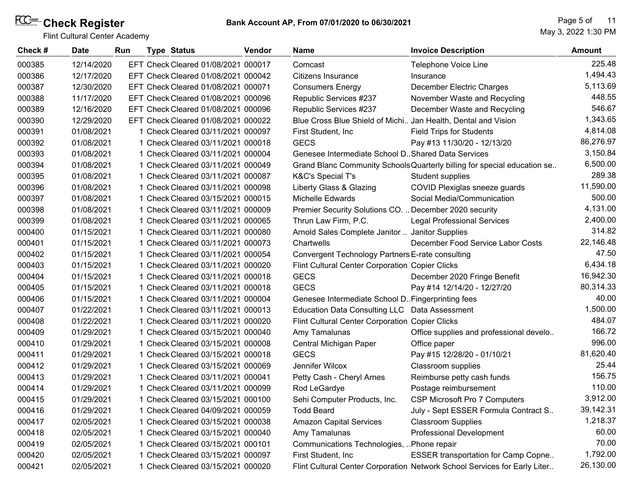| Check # | <b>Date</b> | Run | <b>Type Status</b>                  | <b>Vendor</b> | <b>Name</b>                                                   | <b>Invoice Description</b>                                                | <b>Amount</b> |
|---------|-------------|-----|-------------------------------------|---------------|---------------------------------------------------------------|---------------------------------------------------------------------------|---------------|
| 000385  | 12/14/2020  |     | EFT Check Cleared 01/08/2021 000017 |               | Comcast                                                       | Telephone Voice Line                                                      | 225.48        |
| 000386  | 12/17/2020  |     | EFT Check Cleared 01/08/2021 000042 |               | Citizens Insurance                                            | Insurance                                                                 | 1,494.43      |
| 000387  | 12/30/2020  |     | EFT Check Cleared 01/08/2021 000071 |               | <b>Consumers Energy</b>                                       | December Electric Charges                                                 | 5,113.69      |
| 000388  | 11/17/2020  |     | EFT Check Cleared 01/08/2021 000096 |               | Republic Services #237                                        | November Waste and Recycling                                              | 448.55        |
| 000389  | 12/16/2020  |     | EFT Check Cleared 01/08/2021 000096 |               | Republic Services #237                                        | December Waste and Recycling                                              | 546.67        |
| 000390  | 12/29/2020  |     | EFT Check Cleared 01/08/2021 000022 |               | Blue Cross Blue Shield of Michi Jan Health, Dental and Vision |                                                                           | 1,343.65      |
| 000391  | 01/08/2021  |     | 1 Check Cleared 03/11/2021 000097   |               | First Student, Inc.                                           | <b>Field Trips for Students</b>                                           | 4,814.08      |
| 000392  | 01/08/2021  |     | 1 Check Cleared 03/11/2021 000018   |               | <b>GECS</b>                                                   | Pay #13 11/30/20 - 12/13/20                                               | 86,276.97     |
| 000393  | 01/08/2021  |     | 1 Check Cleared 03/11/2021 000004   |               | Genesee Intermediate School D. Shared Data Services           |                                                                           | 3,150.84      |
| 000394  | 01/08/2021  |     | 1 Check Cleared 03/11/2021 000049   |               |                                                               | Grand Blanc Community Schools Quarterly billing for special education se  | 6,500.00      |
| 000395  | 01/08/2021  |     | 1 Check Cleared 03/11/2021 000087   |               | K&C's Special T's                                             | Student supplies                                                          | 289.38        |
| 000396  | 01/08/2021  |     | 1 Check Cleared 03/11/2021 000098   |               | Liberty Glass & Glazing                                       | COVID Plexiglas sneeze guards                                             | 11,590.00     |
| 000397  | 01/08/2021  |     | 1 Check Cleared 03/15/2021 000015   |               | Michelle Edwards                                              | Social Media/Communication                                                | 500.00        |
| 000398  | 01/08/2021  |     | 1 Check Cleared 03/11/2021 000009   |               | Premier Security Solutions CO.  December 2020 security        |                                                                           | 4,131.00      |
| 000399  | 01/08/2021  |     | 1 Check Cleared 03/11/2021 000065   |               | Thrun Law Firm, P.C.                                          | <b>Legal Professional Services</b>                                        | 2,400.00      |
| 000400  | 01/15/2021  |     | 1 Check Cleared 03/11/2021 000080   |               | Arnold Sales Complete Janitor  Janitor Supplies               |                                                                           | 314.82        |
| 000401  | 01/15/2021  |     | 1 Check Cleared 03/11/2021 000073   |               | Chartwells                                                    | December Food Service Labor Costs                                         | 22,146.48     |
| 000402  | 01/15/2021  |     | 1 Check Cleared 03/11/2021 000054   |               | Convergent Technology Partners E-rate consulting              |                                                                           | 47.50         |
| 000403  | 01/15/2021  |     | 1 Check Cleared 03/11/2021 000020   |               | Flint Cultural Center Corporation Copier Clicks               |                                                                           | 6,434.18      |
| 000404  | 01/15/2021  |     | 1 Check Cleared 03/11/2021 000018   |               | <b>GECS</b>                                                   | December 2020 Fringe Benefit                                              | 16,942.30     |
| 000405  | 01/15/2021  |     | 1 Check Cleared 03/11/2021 000018   |               | <b>GECS</b>                                                   | Pay #14 12/14/20 - 12/27/20                                               | 80,314.33     |
| 000406  | 01/15/2021  |     | 1 Check Cleared 03/11/2021 000004   |               | Genesee Intermediate School D. Fingerprinting fees            |                                                                           | 40.00         |
| 000407  | 01/22/2021  |     | 1 Check Cleared 03/11/2021 000013   |               | Education Data Consulting LLC Data Assessment                 |                                                                           | 1,500.00      |
| 000408  | 01/22/2021  |     | 1 Check Cleared 03/11/2021 000020   |               | Flint Cultural Center Corporation Copier Clicks               |                                                                           | 484.07        |
| 000409  | 01/29/2021  |     | 1 Check Cleared 03/15/2021 000040   |               | Amy Tamalunas                                                 | Office supplies and professional develo                                   | 166.72        |
| 000410  | 01/29/2021  |     | 1 Check Cleared 03/15/2021 000008   |               | Central Michigan Paper                                        | Office paper                                                              | 996.00        |
| 000411  | 01/29/2021  |     | 1 Check Cleared 03/15/2021 000018   |               | <b>GECS</b>                                                   | Pay #15 12/28/20 - 01/10/21                                               | 81,620.40     |
| 000412  | 01/29/2021  |     | 1 Check Cleared 03/15/2021 000069   |               | Jennifer Wilcox                                               | Classroom supplies                                                        | 25.44         |
| 000413  | 01/29/2021  |     | 1 Check Cleared 03/11/2021 000041   |               | Petty Cash - Cheryl Arnes                                     | Reimburse petty cash funds                                                | 156.75        |
| 000414  | 01/29/2021  |     | 1 Check Cleared 03/11/2021 000099   |               | Rod LeGardye                                                  | Postage reimbursement                                                     | 110.00        |
| 000415  | 01/29/2021  |     | 1 Check Cleared 03/15/2021 000100   |               | Sehi Computer Products, Inc.                                  | <b>CSP Microsoft Pro 7 Computers</b>                                      | 3,912.00      |
| 000416  | 01/29/2021  |     | 1 Check Cleared 04/09/2021 000059   |               | <b>Todd Beard</b>                                             | July - Sept ESSER Formula Contract S                                      | 39,142.31     |
| 000417  | 02/05/2021  |     | 1 Check Cleared 03/15/2021 000038   |               | <b>Amazon Capital Services</b>                                | <b>Classroom Supplies</b>                                                 | 1,218.37      |
| 000418  | 02/05/2021  |     | 1 Check Cleared 03/15/2021 000040   |               | Amy Tamalunas                                                 | <b>Professional Development</b>                                           | 60.00         |
| 000419  | 02/05/2021  |     | 1 Check Cleared 03/15/2021 000101   |               | Communications Technologies, Phone repair                     |                                                                           | 70.00         |
| 000420  | 02/05/2021  |     | 1 Check Cleared 03/15/2021 000097   |               | First Student, Inc.                                           | <b>ESSER transportation for Camp Copne</b>                                | 1,792.00      |
| 000421  | 02/05/2021  |     | 1 Check Cleared 03/15/2021 000020   |               |                                                               | Flint Cultural Center Corporation Network School Services for Early Liter | 26,130.00     |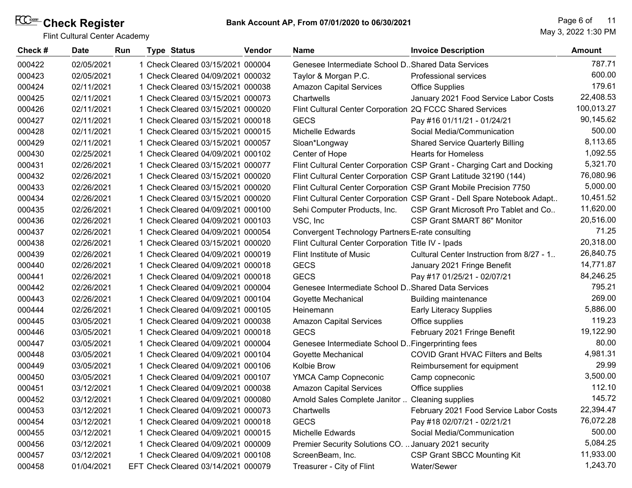| Check# | <b>Date</b> | Run | <b>Type Status</b>                  | <b>Vendor</b> | <b>Name</b>                                               | <b>Invoice Description</b>                                              | <b>Amount</b> |
|--------|-------------|-----|-------------------------------------|---------------|-----------------------------------------------------------|-------------------------------------------------------------------------|---------------|
| 000422 | 02/05/2021  |     | 1 Check Cleared 03/15/2021 000004   |               | Genesee Intermediate School D. Shared Data Services       |                                                                         | 787.71        |
| 000423 | 02/05/2021  |     | 1 Check Cleared 04/09/2021 000032   |               | Taylor & Morgan P.C.                                      | <b>Professional services</b>                                            | 600.00        |
| 000424 | 02/11/2021  |     | 1 Check Cleared 03/15/2021 000038   |               | <b>Amazon Capital Services</b>                            | <b>Office Supplies</b>                                                  | 179.61        |
| 000425 | 02/11/2021  |     | 1 Check Cleared 03/15/2021 000073   |               | Chartwells                                                | January 2021 Food Service Labor Costs                                   | 22,408.53     |
| 000426 | 02/11/2021  |     | 1 Check Cleared 03/15/2021 000020   |               | Flint Cultural Center Corporation 2Q FCCC Shared Services |                                                                         | 100,013.27    |
| 000427 | 02/11/2021  |     | 1 Check Cleared 03/15/2021 000018   |               | <b>GECS</b>                                               | Pay #16 01/11/21 - 01/24/21                                             | 90,145.62     |
| 000428 | 02/11/2021  |     | 1 Check Cleared 03/15/2021 000015   |               | <b>Michelle Edwards</b>                                   | Social Media/Communication                                              | 500.00        |
| 000429 | 02/11/2021  |     | 1 Check Cleared 03/15/2021 000057   |               | Sloan*Longway                                             | <b>Shared Service Quarterly Billing</b>                                 | 8,113.65      |
| 000430 | 02/25/2021  |     | 1 Check Cleared 04/09/2021 000102   |               | Center of Hope                                            | <b>Hearts for Homeless</b>                                              | 1,092.55      |
| 000431 | 02/26/2021  |     | 1 Check Cleared 03/15/2021 000077   |               |                                                           | Flint Cultural Center Corporation CSP Grant - Charging Cart and Docking | 5,321.70      |
| 000432 | 02/26/2021  |     | 1 Check Cleared 03/15/2021 000020   |               |                                                           | Flint Cultural Center Corporation CSP Grant Latitude 32190 (144)        | 76,080.96     |
| 000433 | 02/26/2021  |     | 1 Check Cleared 03/15/2021 000020   |               |                                                           | Flint Cultural Center Corporation CSP Grant Mobile Precision 7750       | 5,000.00      |
| 000434 | 02/26/2021  |     | 1 Check Cleared 03/15/2021 000020   |               |                                                           | Flint Cultural Center Corporation CSP Grant - Dell Spare Notebook Adapt | 10,451.52     |
| 000435 | 02/26/2021  |     | 1 Check Cleared 04/09/2021 000100   |               | Sehi Computer Products, Inc.                              | CSP Grant Microsoft Pro Tablet and Co                                   | 11,620.00     |
| 000436 | 02/26/2021  |     | 1 Check Cleared 04/09/2021 000103   |               | VSC, Inc                                                  | CSP Grant SMART 86" Monitor                                             | 20,516.00     |
| 000437 | 02/26/2021  |     | 1 Check Cleared 04/09/2021 000054   |               | Convergent Technology Partners E-rate consulting          |                                                                         | 71.25         |
| 000438 | 02/26/2021  |     | 1 Check Cleared 03/15/2021 000020   |               | Flint Cultural Center Corporation Title IV - Ipads        |                                                                         | 20,318.00     |
| 000439 | 02/26/2021  |     | 1 Check Cleared 04/09/2021 000019   |               | Flint Institute of Music                                  | Cultural Center Instruction from 8/27 - 1.                              | 26,840.75     |
| 000440 | 02/26/2021  |     | 1 Check Cleared 04/09/2021 000018   |               | <b>GECS</b>                                               | January 2021 Fringe Benefit                                             | 14,771.87     |
| 000441 | 02/26/2021  |     | 1 Check Cleared 04/09/2021 000018   |               | <b>GECS</b>                                               | Pay #17 01/25/21 - 02/07/21                                             | 84,246.25     |
| 000442 | 02/26/2021  |     | 1 Check Cleared 04/09/2021 000004   |               | Genesee Intermediate School D. Shared Data Services       |                                                                         | 795.21        |
| 000443 | 02/26/2021  |     | 1 Check Cleared 04/09/2021 000104   |               | Goyette Mechanical                                        | <b>Building maintenance</b>                                             | 269.00        |
| 000444 | 02/26/2021  |     | 1 Check Cleared 04/09/2021 000105   |               | Heinemann                                                 | <b>Early Literacy Supplies</b>                                          | 5,886.00      |
| 000445 | 03/05/2021  |     | 1 Check Cleared 04/09/2021 000038   |               | <b>Amazon Capital Services</b>                            | Office supplies                                                         | 119.23        |
| 000446 | 03/05/2021  |     | 1 Check Cleared 04/09/2021 000018   |               | <b>GECS</b>                                               | February 2021 Fringe Benefit                                            | 19,122.90     |
| 000447 | 03/05/2021  |     | 1 Check Cleared 04/09/2021 000004   |               | Genesee Intermediate School D. Fingerprinting fees        |                                                                         | 80.00         |
| 000448 | 03/05/2021  |     | 1 Check Cleared 04/09/2021 000104   |               | Goyette Mechanical                                        | <b>COVID Grant HVAC Filters and Belts</b>                               | 4,981.31      |
| 000449 | 03/05/2021  |     | 1 Check Cleared 04/09/2021 000106   |               | Kolbie Brow                                               | Reimbursement for equipment                                             | 29.99         |
| 000450 | 03/05/2021  |     | 1 Check Cleared 04/09/2021 000107   |               | <b>YMCA Camp Copneconic</b>                               | Camp copneconic                                                         | 3,500.00      |
| 000451 | 03/12/2021  |     | 1 Check Cleared 04/09/2021 000038   |               | <b>Amazon Capital Services</b>                            | Office supplies                                                         | 112.10        |
| 000452 | 03/12/2021  |     | 1 Check Cleared 04/09/2021 000080   |               | Arnold Sales Complete Janitor                             | <b>Cleaning supplies</b>                                                | 145.72        |
| 000453 | 03/12/2021  |     | 1 Check Cleared 04/09/2021 000073   |               | Chartwells                                                | February 2021 Food Service Labor Costs                                  | 22,394.47     |
| 000454 | 03/12/2021  |     | 1 Check Cleared 04/09/2021 000018   |               | <b>GECS</b>                                               | Pay #18 02/07/21 - 02/21/21                                             | 76,072.28     |
| 000455 | 03/12/2021  |     | 1 Check Cleared 04/09/2021 000015   |               | <b>Michelle Edwards</b>                                   | Social Media/Communication                                              | 500.00        |
| 000456 | 03/12/2021  |     | 1 Check Cleared 04/09/2021 000009   |               | Premier Security Solutions CO.  January 2021 security     |                                                                         | 5,084.25      |
| 000457 | 03/12/2021  |     | 1 Check Cleared 04/09/2021 000108   |               | ScreenBeam, Inc.                                          | <b>CSP Grant SBCC Mounting Kit</b>                                      | 11,933.00     |
| 000458 | 01/04/2021  |     | EFT Check Cleared 03/14/2021 000079 |               | Treasurer - City of Flint                                 | Water/Sewer                                                             | 1,243.70      |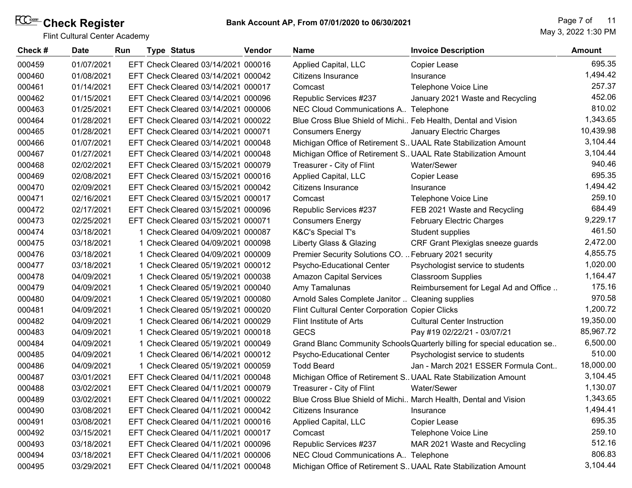| Check# | <b>Date</b> | Run | <b>Type Status</b>                  | <b>Vendor</b> | <b>Name</b>                                                   | <b>Invoice Description</b>                                               | <b>Amount</b> |
|--------|-------------|-----|-------------------------------------|---------------|---------------------------------------------------------------|--------------------------------------------------------------------------|---------------|
| 000459 | 01/07/2021  |     | EFT Check Cleared 03/14/2021 000016 |               | Applied Capital, LLC                                          | Copier Lease                                                             | 695.35        |
| 000460 | 01/08/2021  |     | EFT Check Cleared 03/14/2021 000042 |               | Citizens Insurance                                            | Insurance                                                                | 1,494.42      |
| 000461 | 01/14/2021  |     | EFT Check Cleared 03/14/2021 000017 |               | Comcast                                                       | Telephone Voice Line                                                     | 257.37        |
| 000462 | 01/15/2021  |     | EFT Check Cleared 03/14/2021 000096 |               | Republic Services #237                                        | January 2021 Waste and Recycling                                         | 452.06        |
| 000463 | 01/25/2021  |     | EFT Check Cleared 03/14/2021 000006 |               | NEC Cloud Communications A Telephone                          |                                                                          | 810.02        |
| 000464 | 01/28/2021  |     | EFT Check Cleared 03/14/2021 000022 |               | Blue Cross Blue Shield of Michi Feb Health, Dental and Vision |                                                                          | 1,343.65      |
| 000465 | 01/28/2021  |     | EFT Check Cleared 03/14/2021 000071 |               | <b>Consumers Energy</b>                                       | January Electric Charges                                                 | 10,439.98     |
| 000466 | 01/07/2021  |     | EFT Check Cleared 03/14/2021 000048 |               |                                                               | Michigan Office of Retirement S. UAAL Rate Stabilization Amount          | 3,104.44      |
| 000467 | 01/27/2021  |     | EFT Check Cleared 03/14/2021 000048 |               |                                                               | Michigan Office of Retirement S UAAL Rate Stabilization Amount           | 3,104.44      |
| 000468 | 02/02/2021  |     | EFT Check Cleared 03/15/2021 000079 |               | Treasurer - City of Flint                                     | Water/Sewer                                                              | 940.46        |
| 000469 | 02/08/2021  |     | EFT Check Cleared 03/15/2021 000016 |               | Applied Capital, LLC                                          | <b>Copier Lease</b>                                                      | 695.35        |
| 000470 | 02/09/2021  |     | EFT Check Cleared 03/15/2021 000042 |               | Citizens Insurance                                            | Insurance                                                                | 1,494.42      |
| 000471 | 02/16/2021  |     | EFT Check Cleared 03/15/2021 000017 |               | Comcast                                                       | Telephone Voice Line                                                     | 259.10        |
| 000472 | 02/17/2021  |     | EFT Check Cleared 03/15/2021 000096 |               | Republic Services #237                                        | FEB 2021 Waste and Recycling                                             | 684.49        |
| 000473 | 02/25/2021  |     | EFT Check Cleared 03/15/2021 000071 |               | <b>Consumers Energy</b>                                       | <b>February Electric Charges</b>                                         | 9,229.17      |
| 000474 | 03/18/2021  |     | 1 Check Cleared 04/09/2021 000087   |               | K&C's Special T's                                             | Student supplies                                                         | 461.50        |
| 000475 | 03/18/2021  |     | 1 Check Cleared 04/09/2021 000098   |               | Liberty Glass & Glazing                                       | CRF Grant Plexiglas sneeze guards                                        | 2,472.00      |
| 000476 | 03/18/2021  |     | 1 Check Cleared 04/09/2021 000009   |               | Premier Security Solutions CO.  February 2021 security        |                                                                          | 4,855.75      |
| 000477 | 03/18/2021  |     | 1 Check Cleared 05/19/2021 000012   |               | Psycho-Educational Center                                     | Psychologist service to students                                         | 1,020.00      |
| 000478 | 04/09/2021  |     | 1 Check Cleared 05/19/2021 000038   |               | <b>Amazon Capital Services</b>                                | <b>Classroom Supplies</b>                                                | 1,164.47      |
| 000479 | 04/09/2021  |     | 1 Check Cleared 05/19/2021 000040   |               | Amy Tamalunas                                                 | Reimbursement for Legal Ad and Office                                    | 175.16        |
| 000480 | 04/09/2021  |     | 1 Check Cleared 05/19/2021 000080   |               | Arnold Sales Complete Janitor  Cleaning supplies              |                                                                          | 970.58        |
| 000481 | 04/09/2021  |     | 1 Check Cleared 05/19/2021 000020   |               | Flint Cultural Center Corporation Copier Clicks               |                                                                          | 1,200.72      |
| 000482 | 04/09/2021  |     | 1 Check Cleared 06/14/2021 000029   |               | Flint Institute of Arts                                       | <b>Cultural Center Instruction</b>                                       | 19,350.00     |
| 000483 | 04/09/2021  |     | 1 Check Cleared 05/19/2021 000018   |               | <b>GECS</b>                                                   | Pay #19 02/22/21 - 03/07/21                                              | 85,967.72     |
| 000484 | 04/09/2021  |     | 1 Check Cleared 05/19/2021 000049   |               |                                                               | Grand Blanc Community Schools Quarterly billing for special education se | 6,500.00      |
| 000485 | 04/09/2021  |     | 1 Check Cleared 06/14/2021 000012   |               | Psycho-Educational Center                                     | Psychologist service to students                                         | 510.00        |
| 000486 | 04/09/2021  |     | 1 Check Cleared 05/19/2021 000059   |               | <b>Todd Beard</b>                                             | Jan - March 2021 ESSER Formula Cont                                      | 18,000.00     |
| 000487 | 03/01/2021  |     | EFT Check Cleared 04/11/2021 000048 |               |                                                               | Michigan Office of Retirement S. UAAL Rate Stabilization Amount          | 3,104.45      |
| 000488 | 03/02/2021  |     | EFT Check Cleared 04/11/2021 000079 |               | Treasurer - City of Flint                                     | Water/Sewer                                                              | 1,130.07      |
| 000489 | 03/02/2021  |     | EFT Check Cleared 04/11/2021 000022 |               |                                                               | Blue Cross Blue Shield of Michi March Health, Dental and Vision          | 1,343.65      |
| 000490 | 03/08/2021  |     | EFT Check Cleared 04/11/2021 000042 |               | Citizens Insurance                                            | Insurance                                                                | 1,494.41      |
| 000491 | 03/08/2021  |     | EFT Check Cleared 04/11/2021 000016 |               | Applied Capital, LLC                                          | Copier Lease                                                             | 695.35        |
| 000492 | 03/15/2021  |     | EFT Check Cleared 04/11/2021 000017 |               | Comcast                                                       | Telephone Voice Line                                                     | 259.10        |
| 000493 | 03/18/2021  |     | EFT Check Cleared 04/11/2021 000096 |               | Republic Services #237                                        | MAR 2021 Waste and Recycling                                             | 512.16        |
| 000494 | 03/18/2021  |     | EFT Check Cleared 04/11/2021 000006 |               | NEC Cloud Communications A Telephone                          |                                                                          | 806.83        |
| 000495 | 03/29/2021  |     | EFT Check Cleared 04/11/2021 000048 |               |                                                               | Michigan Office of Retirement S. UAAL Rate Stabilization Amount          | 3,104.44      |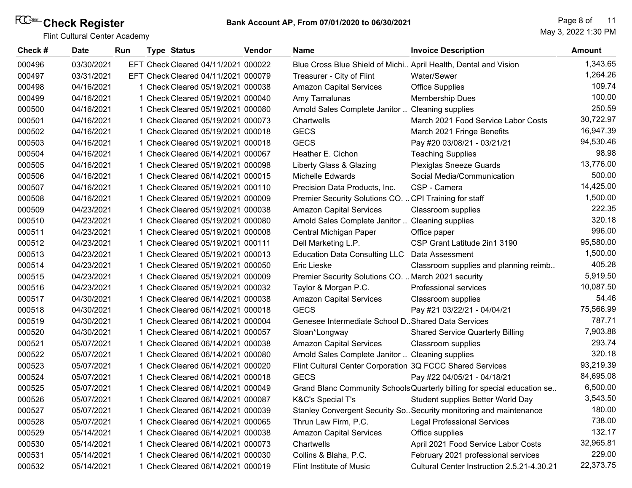| Check# | <b>Date</b> | Run | <b>Type Status</b>                  | <b>Vendor</b> | <b>Name</b>                                                     | <b>Invoice Description</b>                                               | <b>Amount</b> |
|--------|-------------|-----|-------------------------------------|---------------|-----------------------------------------------------------------|--------------------------------------------------------------------------|---------------|
| 000496 | 03/30/2021  |     | EFT Check Cleared 04/11/2021 000022 |               | Blue Cross Blue Shield of Michi April Health, Dental and Vision |                                                                          | 1,343.65      |
| 000497 | 03/31/2021  |     | EFT Check Cleared 04/11/2021 000079 |               | Treasurer - City of Flint                                       | Water/Sewer                                                              | 1,264.26      |
| 000498 | 04/16/2021  |     | 1 Check Cleared 05/19/2021 000038   |               | <b>Amazon Capital Services</b>                                  | <b>Office Supplies</b>                                                   | 109.74        |
| 000499 | 04/16/2021  |     | 1 Check Cleared 05/19/2021 000040   |               | Amy Tamalunas                                                   | <b>Membership Dues</b>                                                   | 100.00        |
| 000500 | 04/16/2021  |     | 1 Check Cleared 05/19/2021 000080   |               | Arnold Sales Complete Janitor                                   | <b>Cleaning supplies</b>                                                 | 250.59        |
| 000501 | 04/16/2021  |     | 1 Check Cleared 05/19/2021 000073   |               | Chartwells                                                      | March 2021 Food Service Labor Costs                                      | 30,722.97     |
| 000502 | 04/16/2021  |     | 1 Check Cleared 05/19/2021 000018   |               | <b>GECS</b>                                                     | March 2021 Fringe Benefits                                               | 16,947.39     |
| 000503 | 04/16/2021  |     | 1 Check Cleared 05/19/2021 000018   |               | <b>GECS</b>                                                     | Pay #20 03/08/21 - 03/21/21                                              | 94,530.46     |
| 000504 | 04/16/2021  |     | 1 Check Cleared 06/14/2021 000067   |               | Heather E. Cichon                                               | <b>Teaching Supplies</b>                                                 | 98.98         |
| 000505 | 04/16/2021  |     | 1 Check Cleared 05/19/2021 000098   |               | Liberty Glass & Glazing                                         | <b>Plexiglas Sneeze Guards</b>                                           | 13,776.00     |
| 000506 | 04/16/2021  |     | 1 Check Cleared 06/14/2021 000015   |               | <b>Michelle Edwards</b>                                         | Social Media/Communication                                               | 500.00        |
| 000507 | 04/16/2021  |     | 1 Check Cleared 05/19/2021 000110   |               | Precision Data Products, Inc.                                   | CSP - Camera                                                             | 14,425.00     |
| 000508 | 04/16/2021  |     | 1 Check Cleared 05/19/2021 000009   |               | Premier Security Solutions CO.  CPI Training for staff          |                                                                          | 1,500.00      |
| 000509 | 04/23/2021  |     | 1 Check Cleared 05/19/2021 000038   |               | <b>Amazon Capital Services</b>                                  | Classroom supplies                                                       | 222.35        |
| 000510 | 04/23/2021  |     | 1 Check Cleared 05/19/2021 000080   |               | Arnold Sales Complete Janitor  Cleaning supplies                |                                                                          | 320.18        |
| 000511 | 04/23/2021  |     | 1 Check Cleared 05/19/2021 000008   |               | Central Michigan Paper                                          | Office paper                                                             | 996.00        |
| 000512 | 04/23/2021  |     | 1 Check Cleared 05/19/2021 000111   |               | Dell Marketing L.P.                                             | CSP Grant Latitude 2in1 3190                                             | 95,580.00     |
| 000513 | 04/23/2021  |     | 1 Check Cleared 05/19/2021 000013   |               | <b>Education Data Consulting LLC</b>                            | Data Assessment                                                          | 1,500.00      |
| 000514 | 04/23/2021  |     | 1 Check Cleared 05/19/2021 000050   |               | Eric Lieske                                                     | Classroom supplies and planning reimb                                    | 405.28        |
| 000515 | 04/23/2021  |     | 1 Check Cleared 05/19/2021 000009   |               | Premier Security Solutions CO.  March 2021 security             |                                                                          | 5,919.50      |
| 000516 | 04/23/2021  |     | 1 Check Cleared 05/19/2021 000032   |               | Taylor & Morgan P.C.                                            | <b>Professional services</b>                                             | 10,087.50     |
| 000517 | 04/30/2021  |     | 1 Check Cleared 06/14/2021 000038   |               | <b>Amazon Capital Services</b>                                  | Classroom supplies                                                       | 54.46         |
| 000518 | 04/30/2021  |     | 1 Check Cleared 06/14/2021 000018   |               | <b>GECS</b>                                                     | Pay #21 03/22/21 - 04/04/21                                              | 75,566.99     |
| 000519 | 04/30/2021  |     | 1 Check Cleared 06/14/2021 000004   |               | Genesee Intermediate School D. Shared Data Services             |                                                                          | 787.71        |
| 000520 | 04/30/2021  |     | 1 Check Cleared 06/14/2021 000057   |               | Sloan*Longway                                                   | <b>Shared Service Quarterly Billing</b>                                  | 7,903.88      |
| 000521 | 05/07/2021  |     | 1 Check Cleared 06/14/2021 000038   |               | <b>Amazon Capital Services</b>                                  | Classroom supplies                                                       | 293.74        |
| 000522 | 05/07/2021  |     | 1 Check Cleared 06/14/2021 000080   |               | Arnold Sales Complete Janitor  Cleaning supplies                |                                                                          | 320.18        |
| 000523 | 05/07/2021  |     | 1 Check Cleared 06/14/2021 000020   |               | Flint Cultural Center Corporation 3Q FCCC Shared Services       |                                                                          | 93,219.39     |
| 000524 | 05/07/2021  |     | 1 Check Cleared 06/14/2021 000018   |               | <b>GECS</b>                                                     | Pay #22 04/05/21 - 04/18/21                                              | 84,695.08     |
| 000525 | 05/07/2021  |     | 1 Check Cleared 06/14/2021 000049   |               |                                                                 | Grand Blanc Community Schools Quarterly billing for special education se | 6,500.00      |
| 000526 | 05/07/2021  |     | 1 Check Cleared 06/14/2021 000087   |               | <b>K&amp;C's Special T's</b>                                    | Student supplies Better World Day                                        | 3,543.50      |
| 000527 | 05/07/2021  |     | 1 Check Cleared 06/14/2021 000039   |               |                                                                 | Stanley Convergent Security So. Security monitoring and maintenance      | 180.00        |
| 000528 | 05/07/2021  |     | 1 Check Cleared 06/14/2021 000065   |               | Thrun Law Firm, P.C.                                            | <b>Legal Professional Services</b>                                       | 738.00        |
| 000529 | 05/14/2021  |     | 1 Check Cleared 06/14/2021 000038   |               | <b>Amazon Capital Services</b>                                  | Office supplies                                                          | 132.17        |
| 000530 | 05/14/2021  |     | 1 Check Cleared 06/14/2021 000073   |               | Chartwells                                                      | April 2021 Food Service Labor Costs                                      | 32,965.81     |
| 000531 | 05/14/2021  |     | 1 Check Cleared 06/14/2021 000030   |               | Collins & Blaha, P.C.                                           | February 2021 professional services                                      | 229.00        |
| 000532 | 05/14/2021  |     | 1 Check Cleared 06/14/2021 000019   |               | Flint Institute of Music                                        | Cultural Center Instruction 2.5.21-4.30.21                               | 22,373.75     |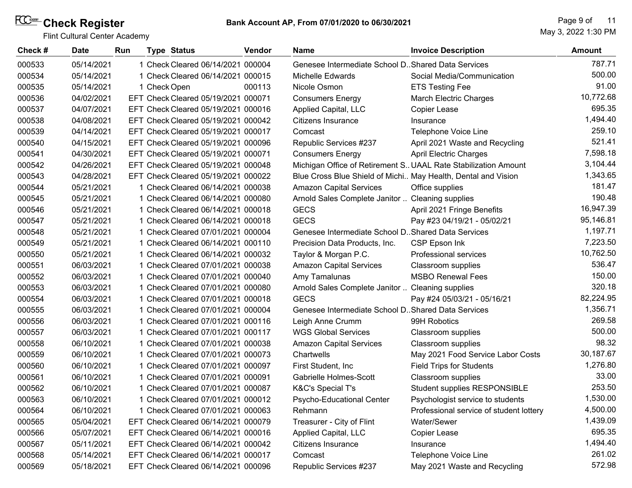| Check# | <b>Date</b> | Run |              | <b>Type Status</b>                  | <b>Vendor</b> | <b>Name</b>                                                   | <b>Invoice Description</b>                                      | <b>Amount</b> |
|--------|-------------|-----|--------------|-------------------------------------|---------------|---------------------------------------------------------------|-----------------------------------------------------------------|---------------|
| 000533 | 05/14/2021  |     |              | 1 Check Cleared 06/14/2021 000004   |               | Genesee Intermediate School D. Shared Data Services           |                                                                 | 787.71        |
| 000534 | 05/14/2021  |     |              | 1 Check Cleared 06/14/2021 000015   |               | <b>Michelle Edwards</b>                                       | Social Media/Communication                                      | 500.00        |
| 000535 | 05/14/2021  |     | 1 Check Open |                                     | 000113        | Nicole Osmon                                                  | <b>ETS Testing Fee</b>                                          | 91.00         |
| 000536 | 04/02/2021  |     |              | EFT Check Cleared 05/19/2021 000071 |               | <b>Consumers Energy</b>                                       | <b>March Electric Charges</b>                                   | 10,772.68     |
| 000537 | 04/07/2021  |     |              | EFT Check Cleared 05/19/2021 000016 |               | Applied Capital, LLC                                          | Copier Lease                                                    | 695.35        |
| 000538 | 04/08/2021  |     |              | EFT Check Cleared 05/19/2021 000042 |               | Citizens Insurance                                            | Insurance                                                       | 1,494.40      |
| 000539 | 04/14/2021  |     |              | EFT Check Cleared 05/19/2021 000017 |               | Comcast                                                       | Telephone Voice Line                                            | 259.10        |
| 000540 | 04/15/2021  |     |              | EFT Check Cleared 05/19/2021 000096 |               | Republic Services #237                                        | April 2021 Waste and Recycling                                  | 521.41        |
| 000541 | 04/30/2021  |     |              | EFT Check Cleared 05/19/2021 000071 |               | <b>Consumers Energy</b>                                       | <b>April Electric Charges</b>                                   | 7,598.18      |
| 000542 | 04/26/2021  |     |              | EFT Check Cleared 05/19/2021 000048 |               |                                                               | Michigan Office of Retirement S. UAAL Rate Stabilization Amount | 3,104.44      |
| 000543 | 04/28/2021  |     |              | EFT Check Cleared 05/19/2021 000022 |               | Blue Cross Blue Shield of Michi May Health, Dental and Vision |                                                                 | 1,343.65      |
| 000544 | 05/21/2021  |     |              | 1 Check Cleared 06/14/2021 000038   |               | <b>Amazon Capital Services</b>                                | Office supplies                                                 | 181.47        |
| 000545 | 05/21/2021  |     |              | 1 Check Cleared 06/14/2021 000080   |               | Arnold Sales Complete Janitor  Cleaning supplies              |                                                                 | 190.48        |
| 000546 | 05/21/2021  |     |              | 1 Check Cleared 06/14/2021 000018   |               | <b>GECS</b>                                                   | April 2021 Fringe Benefits                                      | 16,947.39     |
| 000547 | 05/21/2021  |     |              | 1 Check Cleared 06/14/2021 000018   |               | <b>GECS</b>                                                   | Pay #23 04/19/21 - 05/02/21                                     | 95,146.81     |
| 000548 | 05/21/2021  |     |              | 1 Check Cleared 07/01/2021 000004   |               | Genesee Intermediate School D. Shared Data Services           |                                                                 | 1,197.71      |
| 000549 | 05/21/2021  |     |              | 1 Check Cleared 06/14/2021 000110   |               | Precision Data Products, Inc.                                 | CSP Epson Ink                                                   | 7,223.50      |
| 000550 | 05/21/2021  |     |              | 1 Check Cleared 06/14/2021 000032   |               | Taylor & Morgan P.C.                                          | <b>Professional services</b>                                    | 10,762.50     |
| 000551 | 06/03/2021  |     |              | 1 Check Cleared 07/01/2021 000038   |               | <b>Amazon Capital Services</b>                                | Classroom supplies                                              | 536.47        |
| 000552 | 06/03/2021  |     |              | 1 Check Cleared 07/01/2021 000040   |               | Amy Tamalunas                                                 | <b>MSBO Renewal Fees</b>                                        | 150.00        |
| 000553 | 06/03/2021  |     |              | 1 Check Cleared 07/01/2021 000080   |               | Arnold Sales Complete Janitor  Cleaning supplies              |                                                                 | 320.18        |
| 000554 | 06/03/2021  |     |              | 1 Check Cleared 07/01/2021 000018   |               | <b>GECS</b>                                                   | Pay #24 05/03/21 - 05/16/21                                     | 82,224.95     |
| 000555 | 06/03/2021  |     |              | 1 Check Cleared 07/01/2021 000004   |               | Genesee Intermediate School D. Shared Data Services           |                                                                 | 1,356.71      |
| 000556 | 06/03/2021  |     |              | 1 Check Cleared 07/01/2021 000116   |               | Leigh Anne Crumm                                              | 99H Robotics                                                    | 269.58        |
| 000557 | 06/03/2021  |     |              | 1 Check Cleared 07/01/2021 000117   |               | <b>WGS Global Services</b>                                    | Classroom supplies                                              | 500.00        |
| 000558 | 06/10/2021  |     |              | 1 Check Cleared 07/01/2021 000038   |               | <b>Amazon Capital Services</b>                                | Classroom supplies                                              | 98.32         |
| 000559 | 06/10/2021  |     |              | 1 Check Cleared 07/01/2021 000073   |               | Chartwells                                                    | May 2021 Food Service Labor Costs                               | 30,187.67     |
| 000560 | 06/10/2021  |     |              | 1 Check Cleared 07/01/2021 000097   |               | First Student, Inc.                                           | <b>Field Trips for Students</b>                                 | 1,276.80      |
| 000561 | 06/10/2021  |     |              | 1 Check Cleared 07/01/2021 000091   |               | Gabrielle Holmes-Scott                                        | Classroom supplies                                              | 33.00         |
| 000562 | 06/10/2021  |     |              | 1 Check Cleared 07/01/2021 000087   |               | <b>K&amp;C's Special T's</b>                                  | Student supplies RESPONSIBLE                                    | 253.50        |
| 000563 | 06/10/2021  |     |              | 1 Check Cleared 07/01/2021 000012   |               | Psycho-Educational Center                                     | Psychologist service to students                                | 1,530.00      |
| 000564 | 06/10/2021  |     |              | 1 Check Cleared 07/01/2021 000063   |               | Rehmann                                                       | Professional service of student lottery                         | 4,500.00      |
| 000565 | 05/04/2021  |     |              | EFT Check Cleared 06/14/2021 000079 |               | Treasurer - City of Flint                                     | Water/Sewer                                                     | 1,439.09      |
| 000566 | 05/07/2021  |     |              | EFT Check Cleared 06/14/2021 000016 |               | Applied Capital, LLC                                          | Copier Lease                                                    | 695.35        |
| 000567 | 05/11/2021  |     |              | EFT Check Cleared 06/14/2021 000042 |               | Citizens Insurance                                            | Insurance                                                       | 1,494.40      |
| 000568 | 05/14/2021  |     |              | EFT Check Cleared 06/14/2021 000017 |               | Comcast                                                       | Telephone Voice Line                                            | 261.02        |
| 000569 | 05/18/2021  |     |              | EFT Check Cleared 06/14/2021 000096 |               | Republic Services #237                                        | May 2021 Waste and Recycling                                    | 572.98        |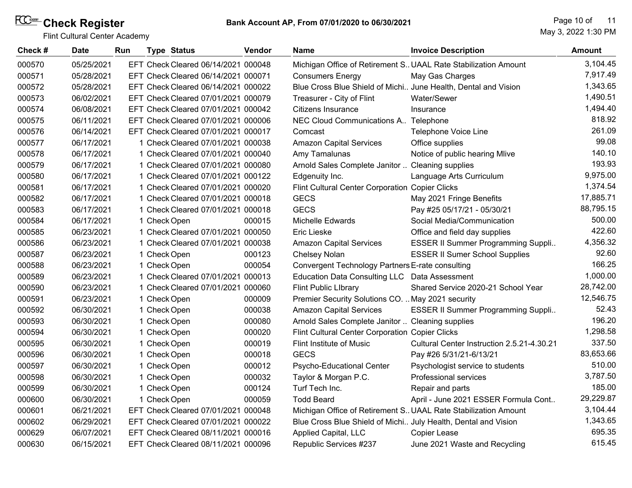| Check # | <b>Date</b> | Run |              | <b>Type Status</b>                  | Vendor | <b>Name</b>                                                    | <b>Invoice Description</b>                                     | <b>Amount</b> |
|---------|-------------|-----|--------------|-------------------------------------|--------|----------------------------------------------------------------|----------------------------------------------------------------|---------------|
| 000570  | 05/25/2021  |     |              | EFT Check Cleared 06/14/2021 000048 |        |                                                                | Michigan Office of Retirement S UAAL Rate Stabilization Amount | 3,104.45      |
| 000571  | 05/28/2021  |     |              | EFT Check Cleared 06/14/2021 000071 |        | <b>Consumers Energy</b>                                        | May Gas Charges                                                | 7,917.49      |
| 000572  | 05/28/2021  |     |              | EFT Check Cleared 06/14/2021 000022 |        | Blue Cross Blue Shield of Michi June Health, Dental and Vision |                                                                | 1,343.65      |
| 000573  | 06/02/2021  |     |              | EFT Check Cleared 07/01/2021 000079 |        | Treasurer - City of Flint                                      | Water/Sewer                                                    | 1,490.51      |
| 000574  | 06/08/2021  |     |              | EFT Check Cleared 07/01/2021 000042 |        | Citizens Insurance                                             | Insurance                                                      | 1,494.40      |
| 000575  | 06/11/2021  |     |              | EFT Check Cleared 07/01/2021 000006 |        | NEC Cloud Communications A Telephone                           |                                                                | 818.92        |
| 000576  | 06/14/2021  |     |              | EFT Check Cleared 07/01/2021 000017 |        | Comcast                                                        | Telephone Voice Line                                           | 261.09        |
| 000577  | 06/17/2021  |     |              | 1 Check Cleared 07/01/2021 000038   |        | <b>Amazon Capital Services</b>                                 | Office supplies                                                | 99.08         |
| 000578  | 06/17/2021  |     |              | 1 Check Cleared 07/01/2021 000040   |        | Amy Tamalunas                                                  | Notice of public hearing Mlive                                 | 140.10        |
| 000579  | 06/17/2021  |     |              | 1 Check Cleared 07/01/2021 000080   |        | Arnold Sales Complete Janitor                                  | Cleaning supplies                                              | 193.93        |
| 000580  | 06/17/2021  |     |              | 1 Check Cleared 07/01/2021 000122   |        | Edgenuity Inc.                                                 | Language Arts Curriculum                                       | 9,975.00      |
| 000581  | 06/17/2021  |     |              | 1 Check Cleared 07/01/2021 000020   |        | Flint Cultural Center Corporation Copier Clicks                |                                                                | 1,374.54      |
| 000582  | 06/17/2021  |     |              | 1 Check Cleared 07/01/2021 000018   |        | <b>GECS</b>                                                    | May 2021 Fringe Benefits                                       | 17,885.71     |
| 000583  | 06/17/2021  |     |              | 1 Check Cleared 07/01/2021 000018   |        | <b>GECS</b>                                                    | Pay #25 05/17/21 - 05/30/21                                    | 88,795.15     |
| 000584  | 06/17/2021  |     |              | 1 Check Open                        | 000015 | <b>Michelle Edwards</b>                                        | Social Media/Communication                                     | 500.00        |
| 000585  | 06/23/2021  |     |              | 1 Check Cleared 07/01/2021 000050   |        | <b>Eric Lieske</b>                                             | Office and field day supplies                                  | 422.60        |
| 000586  | 06/23/2021  |     |              | 1 Check Cleared 07/01/2021 000038   |        | <b>Amazon Capital Services</b>                                 | ESSER II Summer Programming Suppli                             | 4,356.32      |
| 000587  | 06/23/2021  |     |              | 1 Check Open                        | 000123 | Chelsey Nolan                                                  | <b>ESSER II Sumer School Supplies</b>                          | 92.60         |
| 000588  | 06/23/2021  |     |              | 1 Check Open                        | 000054 | Convergent Technology Partners E-rate consulting               |                                                                | 166.25        |
| 000589  | 06/23/2021  |     |              | 1 Check Cleared 07/01/2021 000013   |        | Education Data Consulting LLC Data Assessment                  |                                                                | 1,000.00      |
| 000590  | 06/23/2021  |     |              | 1 Check Cleared 07/01/2021 000060   |        | <b>Flint Public LIbrary</b>                                    | Shared Service 2020-21 School Year                             | 28,742.00     |
| 000591  | 06/23/2021  |     |              | 1 Check Open                        | 000009 | Premier Security Solutions CO.  May 2021 security              |                                                                | 12,546.75     |
| 000592  | 06/30/2021  |     |              | 1 Check Open                        | 000038 | <b>Amazon Capital Services</b>                                 | ESSER II Summer Programming Suppli                             | 52.43         |
| 000593  | 06/30/2021  |     |              | 1 Check Open                        | 000080 | Arnold Sales Complete Janitor  Cleaning supplies               |                                                                | 196.20        |
| 000594  | 06/30/2021  |     |              | 1 Check Open                        | 000020 | Flint Cultural Center Corporation Copier Clicks                |                                                                | 1,298.58      |
| 000595  | 06/30/2021  |     |              | 1 Check Open                        | 000019 | Flint Institute of Music                                       | Cultural Center Instruction 2.5.21-4.30.21                     | 337.50        |
| 000596  | 06/30/2021  |     |              | 1 Check Open                        | 000018 | <b>GECS</b>                                                    | Pay #26 5/31/21-6/13/21                                        | 83,653.66     |
| 000597  | 06/30/2021  |     |              | 1 Check Open                        | 000012 | Psycho-Educational Center                                      | Psychologist service to students                               | 510.00        |
| 000598  | 06/30/2021  |     |              | 1 Check Open                        | 000032 | Taylor & Morgan P.C.                                           | Professional services                                          | 3,787.50      |
| 000599  | 06/30/2021  |     |              | 1 Check Open                        | 000124 | Turf Tech Inc.                                                 | Repair and parts                                               | 185.00        |
| 000600  | 06/30/2021  |     | 1 Check Open |                                     | 000059 | <b>Todd Beard</b>                                              | April - June 2021 ESSER Formula Cont                           | 29,229.87     |
| 000601  | 06/21/2021  |     |              | EFT Check Cleared 07/01/2021 000048 |        |                                                                | Michigan Office of Retirement S UAAL Rate Stabilization Amount | 3,104.44      |
| 000602  | 06/29/2021  |     |              | EFT Check Cleared 07/01/2021 000022 |        | Blue Cross Blue Shield of Michi July Health, Dental and Vision |                                                                | 1,343.65      |
| 000629  | 06/07/2021  |     |              | EFT Check Cleared 08/11/2021 000016 |        | Applied Capital, LLC                                           | Copier Lease                                                   | 695.35        |
| 000630  | 06/15/2021  |     |              | EFT Check Cleared 08/11/2021 000096 |        | Republic Services #237                                         | June 2021 Waste and Recycling                                  | 615.45        |